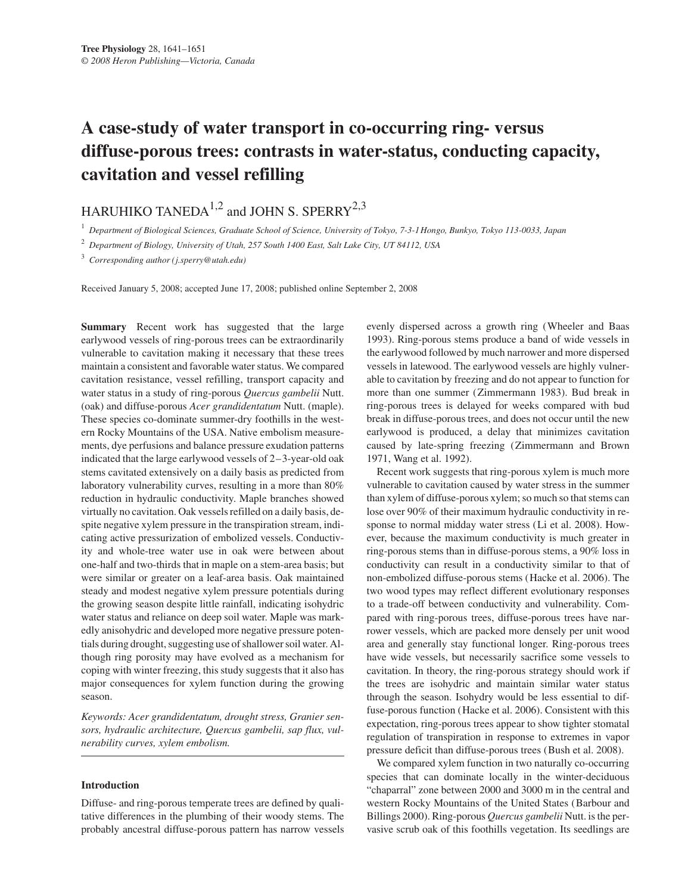# **A case-study of water transport in co-occurring ring- versus diffuse-porous trees: contrasts in water-status, conducting capacity, cavitation and vessel refilling**

# HARUHIKO TANEDA $^{1,2}$  and JOHN S. SPERRY  $^{2,3}$

<sup>1</sup> *Department of Biological Sciences, Graduate School of Science, University of Tokyo, 7-3-1Hongo, Bunkyo, Tokyo 113-0033, Japan*

<sup>2</sup> *Department of Biology, University of Utah, 257 South 1400 East, Salt Lake City, UT 84112, USA*

<sup>3</sup> *Corresponding author (j.sperry@utah.edu)*

Received January 5, 2008; accepted June 17, 2008; published online September 2, 2008

**Summary** Recent work has suggested that the large earlywood vessels of ring-porous trees can be extraordinarily vulnerable to cavitation making it necessary that these trees maintain a consistent and favorable water status. We compared cavitation resistance, vessel refilling, transport capacity and water status in a study of ring-porous *Quercus gambelii* Nutt. (oak) and diffuse-porous *Acer grandidentatum* Nutt. (maple). These species co-dominate summer-dry foothills in the western Rocky Mountains of the USA. Native embolism measurements, dye perfusions and balance pressure exudation patterns indicated that the large earlywood vessels of 2–3-year-old oak stems cavitated extensively on a daily basis as predicted from laboratory vulnerability curves, resulting in a more than 80% reduction in hydraulic conductivity. Maple branches showed virtually no cavitation. Oak vessels refilled on a daily basis, despite negative xylem pressure in the transpiration stream, indicating active pressurization of embolized vessels. Conductivity and whole-tree water use in oak were between about one-half and two-thirds that in maple on a stem-area basis; but were similar or greater on a leaf-area basis. Oak maintained steady and modest negative xylem pressure potentials during the growing season despite little rainfall, indicating isohydric water status and reliance on deep soil water. Maple was markedly anisohydric and developed more negative pressure potentials during drought, suggesting use of shallower soil water. Although ring porosity may have evolved as a mechanism for coping with winter freezing, this study suggests that it also has major consequences for xylem function during the growing season.

*Keywords: Acer grandidentatum, drought stress, Granier sensors, hydraulic architecture, Quercus gambelii, sap flux, vulnerability curves, xylem embolism.*

# **Introduction**

Diffuse- and ring-porous temperate trees are defined by qualitative differences in the plumbing of their woody stems. The probably ancestral diffuse-porous pattern has narrow vessels evenly dispersed across a growth ring (Wheeler and Baas 1993). Ring-porous stems produce a band of wide vessels in the earlywood followed by much narrower and more dispersed vessels in latewood. The earlywood vessels are highly vulnerable to cavitation by freezing and do not appear to function for more than one summer (Zimmermann 1983). Bud break in ring-porous trees is delayed for weeks compared with bud break in diffuse-porous trees, and does not occur until the new earlywood is produced, a delay that minimizes cavitation caused by late-spring freezing (Zimmermann and Brown 1971, Wang et al. 1992).

Recent work suggests that ring-porous xylem is much more vulnerable to cavitation caused by water stress in the summer than xylem of diffuse-porous xylem; so much so that stems can lose over 90% of their maximum hydraulic conductivity in response to normal midday water stress (Li et al. 2008). However, because the maximum conductivity is much greater in ring-porous stems than in diffuse-porous stems, a 90% loss in conductivity can result in a conductivity similar to that of non-embolized diffuse-porous stems (Hacke et al. 2006). The two wood types may reflect different evolutionary responses to a trade-off between conductivity and vulnerability. Compared with ring-porous trees, diffuse-porous trees have narrower vessels, which are packed more densely per unit wood area and generally stay functional longer. Ring-porous trees have wide vessels, but necessarily sacrifice some vessels to cavitation. In theory, the ring-porous strategy should work if the trees are isohydric and maintain similar water status through the season. Isohydry would be less essential to diffuse-porous function (Hacke et al. 2006). Consistent with this expectation, ring-porous trees appear to show tighter stomatal regulation of transpiration in response to extremes in vapor pressure deficit than diffuse-porous trees (Bush et al. 2008).

We compared xylem function in two naturally co-occurring species that can dominate locally in the winter-deciduous "chaparral" zone between 2000 and 3000 m in the central and western Rocky Mountains of the United States (Barbour and Billings 2000). Ring-porous *Quercus gambelii* Nutt. is the pervasive scrub oak of this foothills vegetation. Its seedlings are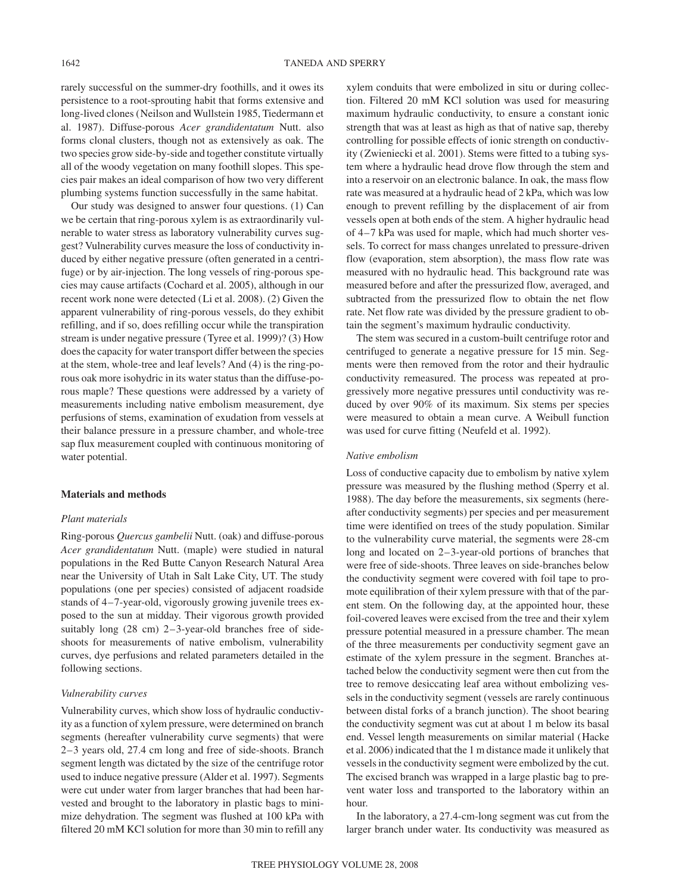rarely successful on the summer-dry foothills, and it owes its persistence to a root-sprouting habit that forms extensive and long-lived clones (Neilson and Wullstein 1985, Tiedermann et al. 1987). Diffuse-porous *Acer grandidentatum* Nutt. also forms clonal clusters, though not as extensively as oak. The two species grow side-by-side and together constitute virtually all of the woody vegetation on many foothill slopes. This species pair makes an ideal comparison of how two very different plumbing systems function successfully in the same habitat.

Our study was designed to answer four questions. (1) Can we be certain that ring-porous xylem is as extraordinarily vulnerable to water stress as laboratory vulnerability curves suggest? Vulnerability curves measure the loss of conductivity induced by either negative pressure (often generated in a centrifuge) or by air-injection. The long vessels of ring-porous species may cause artifacts (Cochard et al. 2005), although in our recent work none were detected (Li et al. 2008). (2) Given the apparent vulnerability of ring-porous vessels, do they exhibit refilling, and if so, does refilling occur while the transpiration stream is under negative pressure (Tyree et al. 1999)? (3) How does the capacity for water transport differ between the species at the stem, whole-tree and leaf levels? And (4) is the ring-porous oak more isohydric in its water status than the diffuse-porous maple? These questions were addressed by a variety of measurements including native embolism measurement, dye perfusions of stems, examination of exudation from vessels at their balance pressure in a pressure chamber, and whole-tree sap flux measurement coupled with continuous monitoring of water potential.

### **Materials and methods**

#### *Plant materials*

Ring-porous *Quercus gambelii* Nutt. (oak) and diffuse-porous *Acer grandidentatum* Nutt. (maple) were studied in natural populations in the Red Butte Canyon Research Natural Area near the University of Utah in Salt Lake City, UT. The study populations (one per species) consisted of adjacent roadside stands of 4–7-year-old, vigorously growing juvenile trees exposed to the sun at midday. Their vigorous growth provided suitably long (28 cm) 2–3-year-old branches free of sideshoots for measurements of native embolism, vulnerability curves, dye perfusions and related parameters detailed in the following sections.

### *Vulnerability curves*

Vulnerability curves, which show loss of hydraulic conductivity as a function of xylem pressure, were determined on branch segments (hereafter vulnerability curve segments) that were 2–3 years old, 27.4 cm long and free of side-shoots. Branch segment length was dictated by the size of the centrifuge rotor used to induce negative pressure (Alder et al. 1997). Segments were cut under water from larger branches that had been harvested and brought to the laboratory in plastic bags to minimize dehydration. The segment was flushed at 100 kPa with filtered 20 mM KCl solution for more than 30 min to refill any

xylem conduits that were embolized in situ or during collection. Filtered 20 mM KCl solution was used for measuring maximum hydraulic conductivity, to ensure a constant ionic strength that was at least as high as that of native sap, thereby controlling for possible effects of ionic strength on conductivity (Zwieniecki et al. 2001). Stems were fitted to a tubing system where a hydraulic head drove flow through the stem and into a reservoir on an electronic balance. In oak, the mass flow rate was measured at a hydraulic head of 2 kPa, which was low enough to prevent refilling by the displacement of air from vessels open at both ends of the stem. A higher hydraulic head of 4–7 kPa was used for maple, which had much shorter vessels. To correct for mass changes unrelated to pressure-driven flow (evaporation, stem absorption), the mass flow rate was measured with no hydraulic head. This background rate was measured before and after the pressurized flow, averaged, and subtracted from the pressurized flow to obtain the net flow rate. Net flow rate was divided by the pressure gradient to obtain the segment's maximum hydraulic conductivity.

The stem was secured in a custom-built centrifuge rotor and centrifuged to generate a negative pressure for 15 min. Segments were then removed from the rotor and their hydraulic conductivity remeasured. The process was repeated at progressively more negative pressures until conductivity was reduced by over 90% of its maximum. Six stems per species were measured to obtain a mean curve. A Weibull function was used for curve fitting (Neufeld et al. 1992).

#### *Native embolism*

Loss of conductive capacity due to embolism by native xylem pressure was measured by the flushing method (Sperry et al. 1988). The day before the measurements, six segments (hereafter conductivity segments) per species and per measurement time were identified on trees of the study population. Similar to the vulnerability curve material, the segments were 28-cm long and located on 2–3-year-old portions of branches that were free of side-shoots. Three leaves on side-branches below the conductivity segment were covered with foil tape to promote equilibration of their xylem pressure with that of the parent stem. On the following day, at the appointed hour, these foil-covered leaves were excised from the tree and their xylem pressure potential measured in a pressure chamber. The mean of the three measurements per conductivity segment gave an estimate of the xylem pressure in the segment. Branches attached below the conductivity segment were then cut from the tree to remove desiccating leaf area without embolizing vessels in the conductivity segment (vessels are rarely continuous between distal forks of a branch junction). The shoot bearing the conductivity segment was cut at about 1 m below its basal end. Vessel length measurements on similar material (Hacke et al. 2006) indicated that the 1 m distance made it unlikely that vessels in the conductivity segment were embolized by the cut. The excised branch was wrapped in a large plastic bag to prevent water loss and transported to the laboratory within an hour.

In the laboratory, a 27.4-cm-long segment was cut from the larger branch under water. Its conductivity was measured as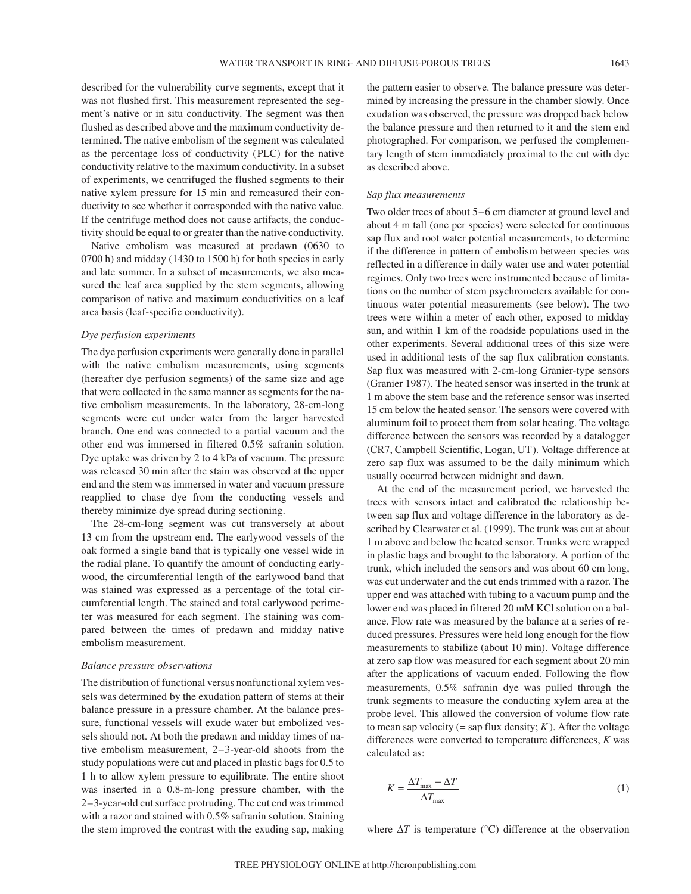described for the vulnerability curve segments, except that it was not flushed first. This measurement represented the segment's native or in situ conductivity. The segment was then flushed as described above and the maximum conductivity determined. The native embolism of the segment was calculated as the percentage loss of conductivity (PLC) for the native conductivity relative to the maximum conductivity. In a subset of experiments, we centrifuged the flushed segments to their native xylem pressure for 15 min and remeasured their conductivity to see whether it corresponded with the native value. If the centrifuge method does not cause artifacts, the conductivity should be equal to or greater than the native conductivity.

Native embolism was measured at predawn (0630 to 0700 h) and midday (1430 to 1500 h) for both species in early and late summer. In a subset of measurements, we also measured the leaf area supplied by the stem segments, allowing comparison of native and maximum conductivities on a leaf area basis (leaf-specific conductivity).

# *Dye perfusion experiments*

The dye perfusion experiments were generally done in parallel with the native embolism measurements, using segments (hereafter dye perfusion segments) of the same size and age that were collected in the same manner as segments for the native embolism measurements. In the laboratory, 28-cm-long segments were cut under water from the larger harvested branch. One end was connected to a partial vacuum and the other end was immersed in filtered 0.5% safranin solution. Dye uptake was driven by 2 to 4 kPa of vacuum. The pressure was released 30 min after the stain was observed at the upper end and the stem was immersed in water and vacuum pressure reapplied to chase dye from the conducting vessels and thereby minimize dye spread during sectioning.

The 28-cm-long segment was cut transversely at about 13 cm from the upstream end. The earlywood vessels of the oak formed a single band that is typically one vessel wide in the radial plane. To quantify the amount of conducting earlywood, the circumferential length of the earlywood band that was stained was expressed as a percentage of the total circumferential length. The stained and total earlywood perimeter was measured for each segment. The staining was compared between the times of predawn and midday native embolism measurement.

# *Balance pressure observations*

The distribution of functional versus nonfunctional xylem vessels was determined by the exudation pattern of stems at their balance pressure in a pressure chamber. At the balance pressure, functional vessels will exude water but embolized vessels should not. At both the predawn and midday times of native embolism measurement, 2–3-year-old shoots from the study populations were cut and placed in plastic bags for 0.5 to 1 h to allow xylem pressure to equilibrate. The entire shoot was inserted in a 0.8-m-long pressure chamber, with the 2–3-year-old cut surface protruding. The cut end was trimmed with a razor and stained with 0.5% safranin solution. Staining the stem improved the contrast with the exuding sap, making the pattern easier to observe. The balance pressure was determined by increasing the pressure in the chamber slowly. Once exudation was observed, the pressure was dropped back below the balance pressure and then returned to it and the stem end photographed. For comparison, we perfused the complementary length of stem immediately proximal to the cut with dye as described above.

## *Sap flux measurements*

Two older trees of about 5–6 cm diameter at ground level and about 4 m tall (one per species) were selected for continuous sap flux and root water potential measurements, to determine if the difference in pattern of embolism between species was reflected in a difference in daily water use and water potential regimes. Only two trees were instrumented because of limitations on the number of stem psychrometers available for continuous water potential measurements (see below). The two trees were within a meter of each other, exposed to midday sun, and within 1 km of the roadside populations used in the other experiments. Several additional trees of this size were used in additional tests of the sap flux calibration constants. Sap flux was measured with 2-cm-long Granier-type sensors (Granier 1987). The heated sensor was inserted in the trunk at 1 m above the stem base and the reference sensor was inserted 15 cm below the heated sensor. The sensors were covered with aluminum foil to protect them from solar heating. The voltage difference between the sensors was recorded by a datalogger (CR7, Campbell Scientific, Logan, UT). Voltage difference at zero sap flux was assumed to be the daily minimum which usually occurred between midnight and dawn.

At the end of the measurement period, we harvested the trees with sensors intact and calibrated the relationship between sap flux and voltage difference in the laboratory as described by Clearwater et al. (1999). The trunk was cut at about 1 m above and below the heated sensor. Trunks were wrapped in plastic bags and brought to the laboratory. A portion of the trunk, which included the sensors and was about 60 cm long, was cut underwater and the cut ends trimmed with a razor. The upper end was attached with tubing to a vacuum pump and the lower end was placed in filtered 20 mM KCl solution on a balance. Flow rate was measured by the balance at a series of reduced pressures. Pressures were held long enough for the flow measurements to stabilize (about 10 min). Voltage difference at zero sap flow was measured for each segment about 20 min after the applications of vacuum ended. Following the flow measurements, 0.5% safranin dye was pulled through the trunk segments to measure the conducting xylem area at the probe level. This allowed the conversion of volume flow rate to mean sap velocity (= sap flux density;  $K$ ). After the voltage differences were converted to temperature differences, *K* was calculated as:

$$
K = \frac{\Delta T_{\text{max}} - \Delta T}{\Delta T_{\text{max}}} \tag{1}
$$

where Δ*T* is temperature (°C) difference at the observation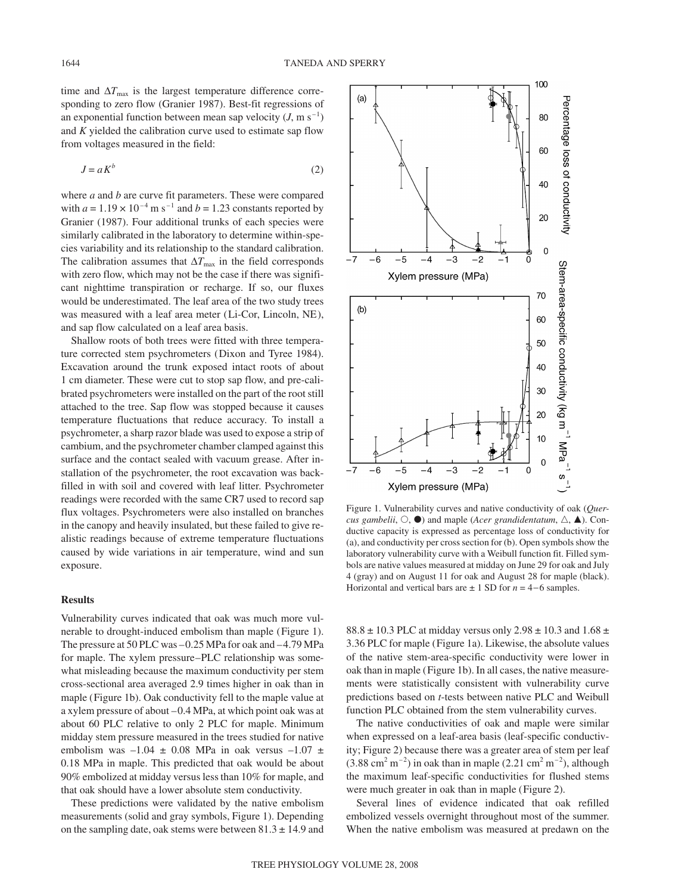time and  $\Delta T_{\text{max}}$  is the largest temperature difference corresponding to zero flow (Granier 1987). Best-fit regressions of an exponential function between mean sap velocity  $(J, m s^{-1})$ and *K* yielded the calibration curve used to estimate sap flow from voltages measured in the field:

$$
J = aK^b \tag{2}
$$

where *a* and *b* are curve fit parameters. These were compared with  $a = 1.19 \times 10^{-4}$  m s<sup>-1</sup> and  $b = 1.23$  constants reported by Granier (1987). Four additional trunks of each species were similarly calibrated in the laboratory to determine within-species variability and its relationship to the standard calibration. The calibration assumes that  $\Delta T_{\text{max}}$  in the field corresponds with zero flow, which may not be the case if there was significant nighttime transpiration or recharge. If so, our fluxes would be underestimated. The leaf area of the two study trees was measured with a leaf area meter (Li-Cor, Lincoln, NE), and sap flow calculated on a leaf area basis.

Shallow roots of both trees were fitted with three temperature corrected stem psychrometers (Dixon and Tyree 1984). Excavation around the trunk exposed intact roots of about 1 cm diameter. These were cut to stop sap flow, and pre-calibrated psychrometers were installed on the part of the root still attached to the tree. Sap flow was stopped because it causes temperature fluctuations that reduce accuracy. To install a psychrometer, a sharp razor blade was used to expose a strip of cambium, and the psychrometer chamber clamped against this surface and the contact sealed with vacuum grease. After installation of the psychrometer, the root excavation was backfilled in with soil and covered with leaf litter. Psychrometer readings were recorded with the same CR7 used to record sap flux voltages. Psychrometers were also installed on branches in the canopy and heavily insulated, but these failed to give realistic readings because of extreme temperature fluctuations caused by wide variations in air temperature, wind and sun exposure.

# **Results**

Vulnerability curves indicated that oak was much more vulnerable to drought-induced embolism than maple (Figure 1). The pressure at 50 PLC was –0.25 MPa for oak and –4.79 MPa for maple. The xylem pressure–PLC relationship was somewhat misleading because the maximum conductivity per stem cross-sectional area averaged 2.9 times higher in oak than in maple (Figure 1b). Oak conductivity fell to the maple value at a xylem pressure of about –0.4 MPa, at which point oak was at about 60 PLC relative to only 2 PLC for maple. Minimum midday stem pressure measured in the trees studied for native embolism was  $-1.04 \pm 0.08$  MPa in oak versus  $-1.07 \pm 0.08$ 0.18 MPa in maple. This predicted that oak would be about 90% embolized at midday versus less than 10% for maple, and that oak should have a lower absolute stem conductivity.

These predictions were validated by the native embolism measurements (solid and gray symbols, Figure 1). Depending on the sampling date, oak stems were between  $81.3 \pm 14.9$  and



Figure 1. Vulnerability curves and native conductivity of oak (*Quercus gambelii*,  $\bigcirc$ ,  $\bullet$ ) and maple (*Acer grandidentatum*,  $\bigtriangleup$ ,  $\blacktriangle$ ). Conductive capacity is expressed as percentage loss of conductivity for (a), and conductivity per cross section for (b). Open symbols show the laboratory vulnerability curve with a Weibull function fit. Filled symbols are native values measured at midday on June 29 for oak and July 4 (gray) and on August 11 for oak and August 28 for maple (black). Horizontal and vertical bars are  $\pm$  1 SD for *n* = 4–6 samples.

88.8  $\pm$  10.3 PLC at midday versus only 2.98  $\pm$  10.3 and 1.68  $\pm$ 3.36 PLC for maple (Figure 1a). Likewise, the absolute values of the native stem-area-specific conductivity were lower in oak than in maple (Figure 1b). In all cases, the native measurements were statistically consistent with vulnerability curve predictions based on *t*-tests between native PLC and Weibull function PLC obtained from the stem vulnerability curves.

The native conductivities of oak and maple were similar when expressed on a leaf-area basis (leaf-specific conductivity; Figure 2) because there was a greater area of stem per leaf  $(3.88 \text{ cm}^2 \text{ m}^{-2})$  in oak than in maple  $(2.21 \text{ cm}^2 \text{ m}^{-2})$ , although the maximum leaf-specific conductivities for flushed stems were much greater in oak than in maple (Figure 2).

Several lines of evidence indicated that oak refilled embolized vessels overnight throughout most of the summer. When the native embolism was measured at predawn on the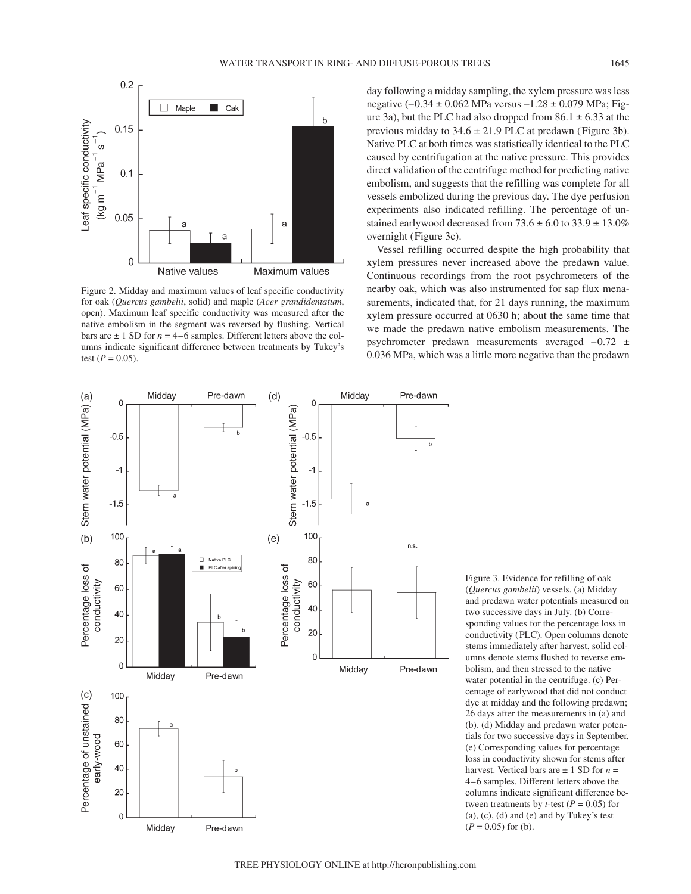

Figure 2. Midday and maximum values of leaf specific conductivity for oak (*Quercus gambelii*, solid) and maple (*Acer grandidentatum*, open). Maximum leaf specific conductivity was measured after the native embolism in the segment was reversed by flushing. Vertical bars are  $\pm$  1 SD for  $n = 4-6$  samples. Different letters above the columns indicate significant difference between treatments by Tukey's test  $(P = 0.05)$ .

day following a midday sampling, the xylem pressure was less negative  $(-0.34 \pm 0.062 \text{ MPa} \text{ versus } -1.28 \pm 0.079 \text{ MPa} \text{; Fig-}$ ure 3a), but the PLC had also dropped from  $86.1 \pm 6.33$  at the previous midday to  $34.6 \pm 21.9$  PLC at predawn (Figure 3b). Native PLC at both times was statistically identical to the PLC caused by centrifugation at the native pressure. This provides direct validation of the centrifuge method for predicting native embolism, and suggests that the refilling was complete for all vessels embolized during the previous day. The dye perfusion experiments also indicated refilling. The percentage of unstained earlywood decreased from  $73.6 \pm 6.0$  to  $33.9 \pm 13.0\%$ overnight (Figure 3c).

Vessel refilling occurred despite the high probability that xylem pressures never increased above the predawn value. Continuous recordings from the root psychrometers of the nearby oak, which was also instrumented for sap flux menasurements, indicated that, for 21 days running, the maximum xylem pressure occurred at 0630 h; about the same time that we made the predawn native embolism measurements. The psychrometer predawn measurements averaged  $-0.72 \pm$ 0.036 MPa, which was a little more negative than the predawn



Figure 3. Evidence for refilling of oak (*Quercus gambelii*) vessels. (a) Midday and predawn water potentials measured on two successive days in July. (b) Corresponding values for the percentage loss in conductivity (PLC). Open columns denote stems immediately after harvest, solid columns denote stems flushed to reverse embolism, and then stressed to the native water potential in the centrifuge. (c) Percentage of earlywood that did not conduct dye at midday and the following predawn; 26 days after the measurements in (a) and (b). (d) Midday and predawn water potentials for two successive days in September. (e) Corresponding values for percentage loss in conductivity shown for stems after harvest. Vertical bars are  $\pm$  1 SD for *n* = 4–6 samples. Different letters above the columns indicate significant difference between treatments by *t*-test ( $P = 0.05$ ) for (a), (c), (d) and (e) and by Tukey's test  $(P = 0.05)$  for (b).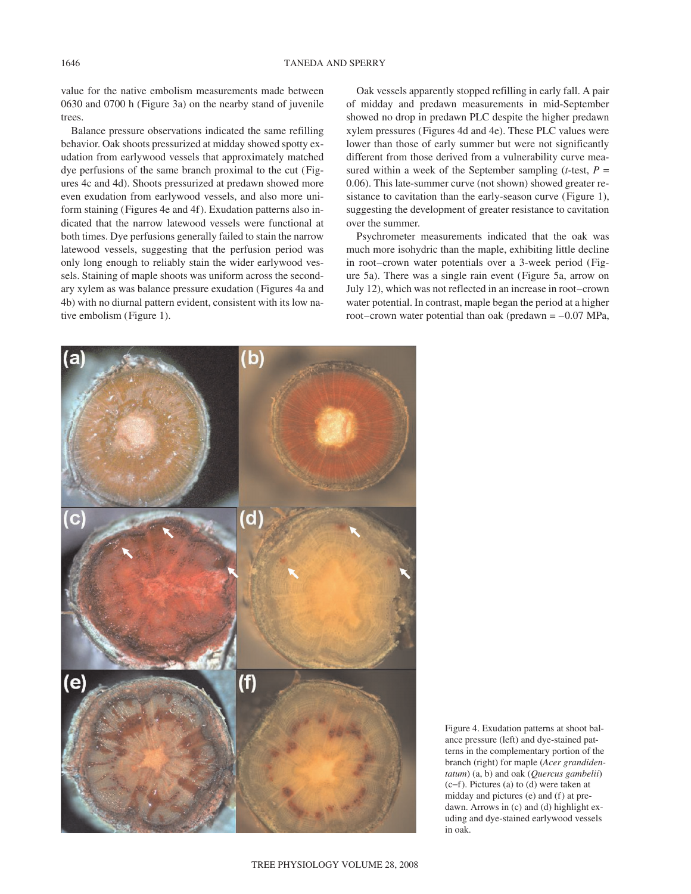value for the native embolism measurements made between 0630 and 0700 h (Figure 3a) on the nearby stand of juvenile trees.

Balance pressure observations indicated the same refilling behavior. Oak shoots pressurized at midday showed spotty exudation from earlywood vessels that approximately matched dye perfusions of the same branch proximal to the cut (Figures 4c and 4d). Shoots pressurized at predawn showed more even exudation from earlywood vessels, and also more uniform staining (Figures 4e and 4f). Exudation patterns also indicated that the narrow latewood vessels were functional at both times. Dye perfusions generally failed to stain the narrow latewood vessels, suggesting that the perfusion period was only long enough to reliably stain the wider earlywood vessels. Staining of maple shoots was uniform across the secondary xylem as was balance pressure exudation (Figures 4a and 4b) with no diurnal pattern evident, consistent with its low native embolism (Figure 1).

Oak vessels apparently stopped refilling in early fall. A pair of midday and predawn measurements in mid-September showed no drop in predawn PLC despite the higher predawn xylem pressures (Figures 4d and 4e). These PLC values were lower than those of early summer but were not significantly different from those derived from a vulnerability curve measured within a week of the September sampling ( $t$ -test,  $P =$ 0.06). This late-summer curve (not shown) showed greater resistance to cavitation than the early-season curve (Figure 1), suggesting the development of greater resistance to cavitation over the summer.

Psychrometer measurements indicated that the oak was much more isohydric than the maple, exhibiting little decline in root–crown water potentials over a 3-week period (Figure 5a). There was a single rain event (Figure 5a, arrow on July 12), which was not reflected in an increase in root–crown water potential. In contrast, maple began the period at a higher root–crown water potential than oak (predawn  $= -0.07$  MPa,

Figure 4. Exudation patterns at shoot balance pressure (left) and dye-stained patterns in the complementary portion of the branch (right) for maple (*Acer grandidentatum*) (a, b) and oak (*Quercus gambelii*) (c−f). Pictures (a) to (d) were taken at midday and pictures (e) and (f) at predawn. Arrows in (c) and (d) highlight exuding and dye-stained earlywood vessels in oak.

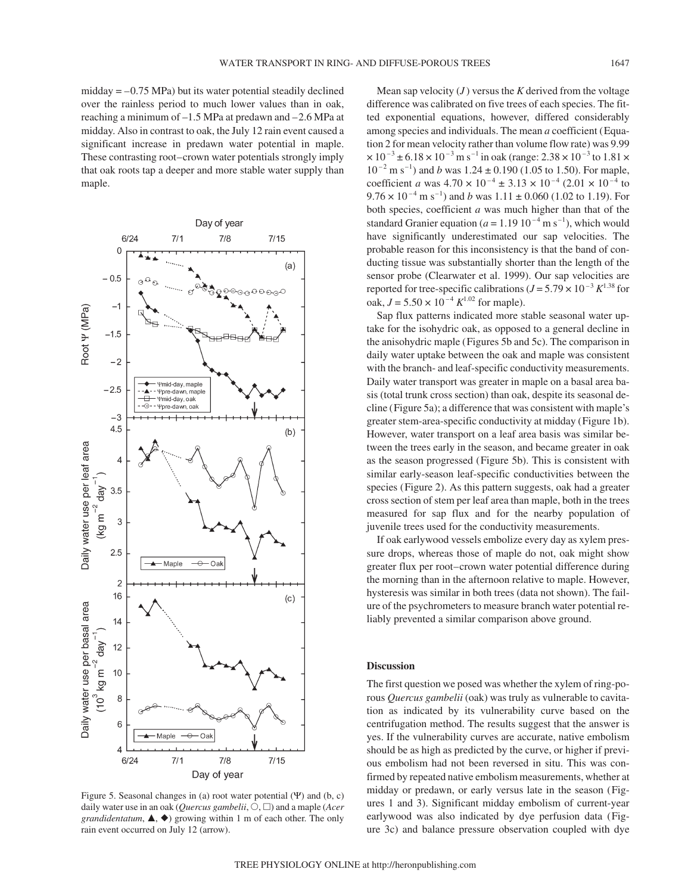$midday = -0.75 MPa)$  but its water potential steadily declined over the rainless period to much lower values than in oak, reaching a minimum of –1.5 MPa at predawn and –2.6 MPa at midday. Also in contrast to oak, the July 12 rain event caused a significant increase in predawn water potential in maple. These contrasting root–crown water potentials strongly imply that oak roots tap a deeper and more stable water supply than maple.



Figure 5. Seasonal changes in (a) root water potential (Ψ) and (b, c) daily water use in an oak (*Quercus gambelii*,  $\bigcirc$ ,  $\Box$ ) and a maple (*Acer grandidentatum*,  $\blacktriangle$ ,  $\blacklozenge$ ) growing within 1 m of each other. The only rain event occurred on July 12 (arrow).

Mean sap velocity  $(J)$  versus the  $K$  derived from the voltage difference was calibrated on five trees of each species. The fitted exponential equations, however, differed considerably among species and individuals. The mean *a* coefficient (Equation 2 for mean velocity rather than volume flow rate) was 9.99  $\times$  10<sup>-3</sup> ± 6.18  $\times$  10<sup>-3</sup> m s<sup>-1</sup> in oak (range: 2.38  $\times$  10<sup>-3</sup> to 1.81  $\times$  $10^{-2}$  m s<sup>-1</sup>) and *b* was  $1.24 \pm 0.190$  (1.05 to 1.50). For maple, coefficient *a* was  $4.70 \times 10^{-4} \pm 3.13 \times 10^{-4}$  (2.01  $\times 10^{-4}$  to  $9.76 \times 10^{-4}$  m s<sup>-1</sup>) and *b* was  $1.11 \pm 0.060$  (1.02 to 1.19). For both species, coefficient *a* was much higher than that of the standard Granier equation ( $a = 1.19 10^{-4}$  m s<sup>-1</sup>), which would have significantly underestimated our sap velocities. The probable reason for this inconsistency is that the band of conducting tissue was substantially shorter than the length of the sensor probe (Clearwater et al. 1999). Our sap velocities are reported for tree-specific calibrations ( $J = 5.79 \times 10^{-3} K^{1.38}$  for oak,  $J = 5.50 \times 10^{-4} K^{1.02}$  for maple).

Sap flux patterns indicated more stable seasonal water uptake for the isohydric oak, as opposed to a general decline in the anisohydric maple (Figures 5b and 5c). The comparison in daily water uptake between the oak and maple was consistent with the branch- and leaf-specific conductivity measurements. Daily water transport was greater in maple on a basal area basis (total trunk cross section) than oak, despite its seasonal decline (Figure 5a); a difference that was consistent with maple's greater stem-area-specific conductivity at midday (Figure 1b). However, water transport on a leaf area basis was similar between the trees early in the season, and became greater in oak as the season progressed (Figure 5b). This is consistent with similar early-season leaf-specific conductivities between the species (Figure 2). As this pattern suggests, oak had a greater cross section of stem per leaf area than maple, both in the trees measured for sap flux and for the nearby population of juvenile trees used for the conductivity measurements.

If oak earlywood vessels embolize every day as xylem pressure drops, whereas those of maple do not, oak might show greater flux per root–crown water potential difference during the morning than in the afternoon relative to maple. However, hysteresis was similar in both trees (data not shown). The failure of the psychrometers to measure branch water potential reliably prevented a similar comparison above ground.

# **Discussion**

The first question we posed was whether the xylem of ring-porous *Quercus gambelii* (oak) was truly as vulnerable to cavitation as indicated by its vulnerability curve based on the centrifugation method. The results suggest that the answer is yes. If the vulnerability curves are accurate, native embolism should be as high as predicted by the curve, or higher if previous embolism had not been reversed in situ. This was confirmed by repeated native embolism measurements, whether at midday or predawn, or early versus late in the season (Figures 1 and 3). Significant midday embolism of current-year earlywood was also indicated by dye perfusion data (Figure 3c) and balance pressure observation coupled with dye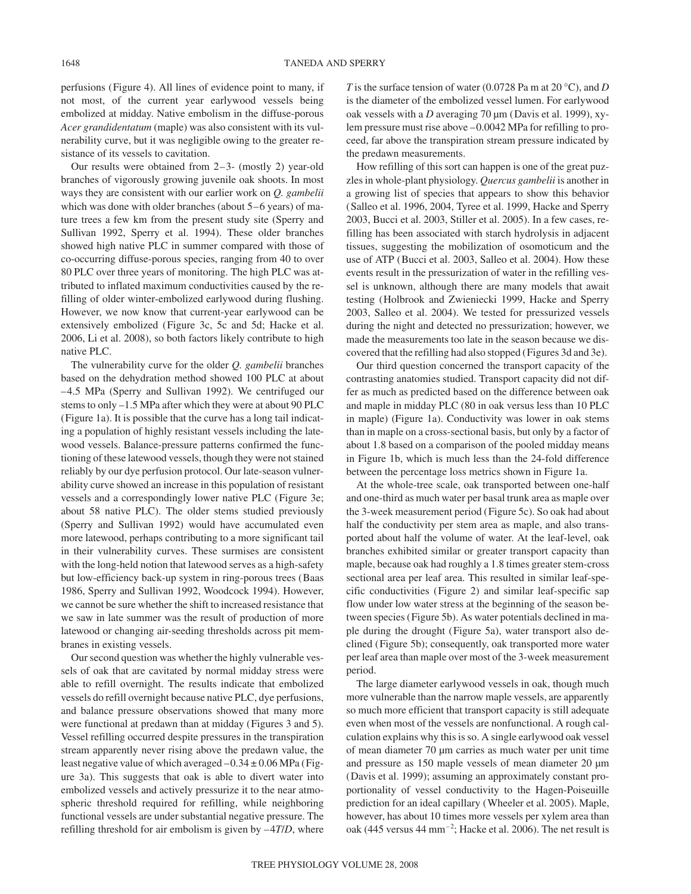perfusions (Figure 4). All lines of evidence point to many, if not most, of the current year earlywood vessels being embolized at midday. Native embolism in the diffuse-porous *Acer grandidentatum* (maple) was also consistent with its vulnerability curve, but it was negligible owing to the greater resistance of its vessels to cavitation.

Our results were obtained from 2–3- (mostly 2) year-old branches of vigorously growing juvenile oak shoots. In most ways they are consistent with our earlier work on *Q. gambelii* which was done with older branches (about 5–6 years) of mature trees a few km from the present study site (Sperry and Sullivan 1992, Sperry et al. 1994). These older branches showed high native PLC in summer compared with those of co-occurring diffuse-porous species, ranging from 40 to over 80 PLC over three years of monitoring. The high PLC was attributed to inflated maximum conductivities caused by the refilling of older winter-embolized earlywood during flushing. However, we now know that current-year earlywood can be extensively embolized (Figure 3c, 5c and 5d; Hacke et al. 2006, Li et al. 2008), so both factors likely contribute to high native PLC.

The vulnerability curve for the older *Q. gambelii* branches based on the dehydration method showed 100 PLC at about –4.5 MPa (Sperry and Sullivan 1992). We centrifuged our stems to only –1.5 MPa after which they were at about 90 PLC (Figure 1a). It is possible that the curve has a long tail indicating a population of highly resistant vessels including the latewood vessels. Balance-pressure patterns confirmed the functioning of these latewood vessels, though they were not stained reliably by our dye perfusion protocol. Our late-season vulnerability curve showed an increase in this population of resistant vessels and a correspondingly lower native PLC (Figure 3e; about 58 native PLC). The older stems studied previously (Sperry and Sullivan 1992) would have accumulated even more latewood, perhaps contributing to a more significant tail in their vulnerability curves. These surmises are consistent with the long-held notion that latewood serves as a high-safety but low-efficiency back-up system in ring-porous trees (Baas 1986, Sperry and Sullivan 1992, Woodcock 1994). However, we cannot be sure whether the shift to increased resistance that we saw in late summer was the result of production of more latewood or changing air-seeding thresholds across pit membranes in existing vessels.

Our second question was whether the highly vulnerable vessels of oak that are cavitated by normal midday stress were able to refill overnight. The results indicate that embolized vessels do refill overnight because native PLC, dye perfusions, and balance pressure observations showed that many more were functional at predawn than at midday (Figures 3 and 5). Vessel refilling occurred despite pressures in the transpiration stream apparently never rising above the predawn value, the least negative value of which averaged  $-0.34 \pm 0.06$  MPa (Figure 3a). This suggests that oak is able to divert water into embolized vessels and actively pressurize it to the near atmospheric threshold required for refilling, while neighboring functional vessels are under substantial negative pressure. The refilling threshold for air embolism is given by –4*T*/*D*, where *T* is the surface tension of water (0.0728 Pa m at 20 °C), and *D* is the diameter of the embolized vessel lumen. For earlywood oak vessels with a *D* averaging 70 µm (Davis et al. 1999), xylem pressure must rise above  $-0.0042$  MPa for refilling to proceed, far above the transpiration stream pressure indicated by the predawn measurements.

How refilling of this sort can happen is one of the great puzzles in whole-plant physiology. *Quercus gambelii* is another in a growing list of species that appears to show this behavior (Salleo et al. 1996, 2004, Tyree et al. 1999, Hacke and Sperry 2003, Bucci et al. 2003, Stiller et al. 2005). In a few cases, refilling has been associated with starch hydrolysis in adjacent tissues, suggesting the mobilization of osomoticum and the use of ATP (Bucci et al. 2003, Salleo et al. 2004). How these events result in the pressurization of water in the refilling vessel is unknown, although there are many models that await testing (Holbrook and Zwieniecki 1999, Hacke and Sperry 2003, Salleo et al. 2004). We tested for pressurized vessels during the night and detected no pressurization; however, we made the measurements too late in the season because we discovered that the refilling had also stopped (Figures 3d and 3e).

Our third question concerned the transport capacity of the contrasting anatomies studied. Transport capacity did not differ as much as predicted based on the difference between oak and maple in midday PLC (80 in oak versus less than 10 PLC in maple) (Figure 1a). Conductivity was lower in oak stems than in maple on a cross-sectional basis, but only by a factor of about 1.8 based on a comparison of the pooled midday means in Figure 1b, which is much less than the 24-fold difference between the percentage loss metrics shown in Figure 1a.

At the whole-tree scale, oak transported between one-half and one-third as much water per basal trunk area as maple over the 3-week measurement period (Figure 5c). So oak had about half the conductivity per stem area as maple, and also transported about half the volume of water. At the leaf-level, oak branches exhibited similar or greater transport capacity than maple, because oak had roughly a 1.8 times greater stem-cross sectional area per leaf area. This resulted in similar leaf-specific conductivities (Figure 2) and similar leaf-specific sap flow under low water stress at the beginning of the season between species (Figure 5b). As water potentials declined in maple during the drought (Figure 5a), water transport also declined (Figure 5b); consequently, oak transported more water per leaf area than maple over most of the 3-week measurement period.

The large diameter earlywood vessels in oak, though much more vulnerable than the narrow maple vessels, are apparently so much more efficient that transport capacity is still adequate even when most of the vessels are nonfunctional. A rough calculation explains why this is so. A single earlywood oak vessel of mean diameter 70 µm carries as much water per unit time and pressure as 150 maple vessels of mean diameter 20 µm (Davis et al. 1999); assuming an approximately constant proportionality of vessel conductivity to the Hagen-Poiseuille prediction for an ideal capillary (Wheeler et al. 2005). Maple, however, has about 10 times more vessels per xylem area than oak (445 versus 44 mm<sup> $-2$ </sup>; Hacke et al. 2006). The net result is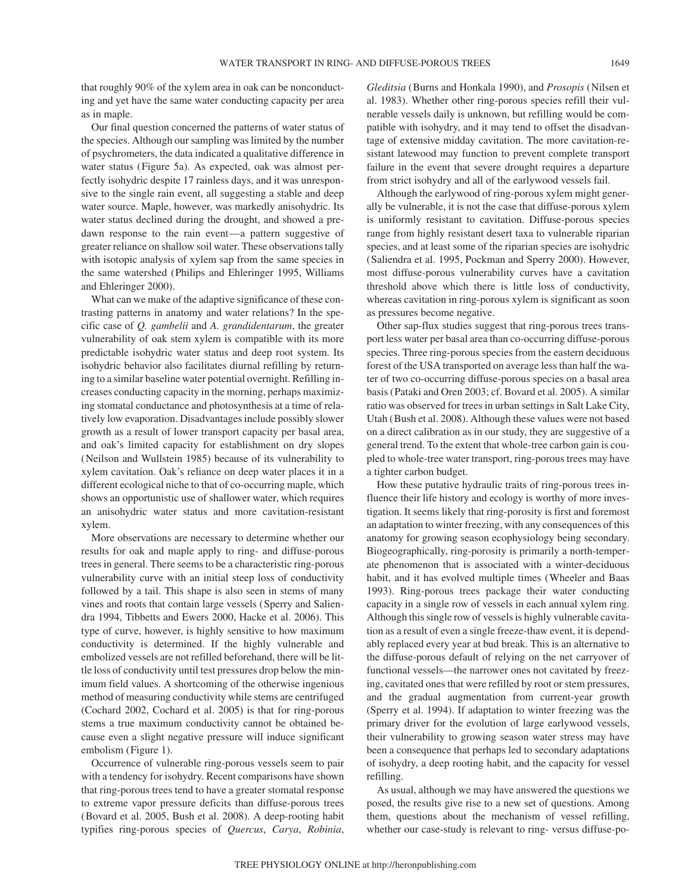that roughly 90% of the xylem area in oak can be nonconducting and yet have the same water conducting capacity per area as in maple.

Our final question concerned the patterns of water status of the species. Although our sampling was limited by the number of psychrometers, the data indicated a qualitative difference in water status (Figure 5a). As expected, oak was almost perfectly isohydric despite 17 rainless days, and it was unresponsive to the single rain event, all suggesting a stable and deep water source. Maple, however, was markedly anisohydric. Its water status declined during the drought, and showed a predawn response to the rain event—a pattern suggestive of greater reliance on shallow soil water. These observations tally with isotopic analysis of xylem sap from the same species in the same watershed (Philips and Ehleringer 1995, Williams and Ehleringer 2000).

What can we make of the adaptive significance of these contrasting patterns in anatomy and water relations? In the specific case of *Q. gambelii* and *A. grandidentarum*, the greater vulnerability of oak stem xylem is compatible with its more predictable isohydric water status and deep root system. Its isohydric behavior also facilitates diurnal refilling by returning to a similar baseline water potential overnight. Refilling increases conducting capacity in the morning, perhaps maximizing stomatal conductance and photosynthesis at a time of relatively low evaporation. Disadvantages include possibly slower growth as a result of lower transport capacity per basal area, and oak's limited capacity for establishment on dry slopes (Neilson and Wullstein 1985) because of its vulnerability to xylem cavitation. Oak's reliance on deep water places it in a different ecological niche to that of co-occurring maple, which shows an opportunistic use of shallower water, which requires an anisohydric water status and more cavitation-resistant xylem.

More observations are necessary to determine whether our results for oak and maple apply to ring- and diffuse-porous trees in general. There seems to be a characteristic ring-porous vulnerability curve with an initial steep loss of conductivity followed by a tail. This shape is also seen in stems of many vines and roots that contain large vessels (Sperry and Saliendra 1994, Tibbetts and Ewers 2000, Hacke et al. 2006). This type of curve, however, is highly sensitive to how maximum conductivity is determined. If the highly vulnerable and embolized vessels are not refilled beforehand, there will be little loss of conductivity until test pressures drop below the minimum field values. A shortcoming of the otherwise ingenious method of measuring conductivity while stems are centrifuged (Cochard 2002, Cochard et al. 2005) is that for ring-porous stems a true maximum conductivity cannot be obtained because even a slight negative pressure will induce significant embolism (Figure 1).

Occurrence of vulnerable ring-porous vessels seem to pair with a tendency for isohydry. Recent comparisons have shown that ring-porous trees tend to have a greater stomatal response to extreme vapor pressure deficits than diffuse-porous trees (Bovard et al. 2005, Bush et al. 2008). A deep-rooting habit typifies ring-porous species of *Quercus*, *Carya*, *Robinia*, *Gleditsia* (Burns and Honkala 1990), and *Prosopis* (Nilsen et al. 1983). Whether other ring-porous species refill their vulnerable vessels daily is unknown, but refilling would be compatible with isohydry, and it may tend to offset the disadvantage of extensive midday cavitation. The more cavitation-resistant latewood may function to prevent complete transport failure in the event that severe drought requires a departure from strict isohydry and all of the earlywood vessels fail.

Although the earlywood of ring-porous xylem might generally be vulnerable, it is not the case that diffuse-porous xylem is uniformly resistant to cavitation. Diffuse-porous species range from highly resistant desert taxa to vulnerable riparian species, and at least some of the riparian species are isohydric (Saliendra et al. 1995, Pockman and Sperry 2000). However, most diffuse-porous vulnerability curves have a cavitation threshold above which there is little loss of conductivity, whereas cavitation in ring-porous xylem is significant as soon as pressures become negative.

Other sap-flux studies suggest that ring-porous trees transport less water per basal area than co-occurring diffuse-porous species. Three ring-porous species from the eastern deciduous forest of the USA transported on average less than half the water of two co-occurring diffuse-porous species on a basal area basis (Pataki and Oren 2003; cf. Bovard et al. 2005). A similar ratio was observed for trees in urban settings in Salt Lake City, Utah (Bush et al. 2008). Although these values were not based on a direct calibration as in our study, they are suggestive of a general trend. To the extent that whole-tree carbon gain is coupled to whole-tree water transport, ring-porous trees may have a tighter carbon budget.

How these putative hydraulic traits of ring-porous trees influence their life history and ecology is worthy of more investigation. It seems likely that ring-porosity is first and foremost an adaptation to winter freezing, with any consequences of this anatomy for growing season ecophysiology being secondary. Biogeographically, ring-porosity is primarily a north-temperate phenomenon that is associated with a winter-deciduous habit, and it has evolved multiple times (Wheeler and Baas 1993). Ring-porous trees package their water conducting capacity in a single row of vessels in each annual xylem ring. Although this single row of vessels is highly vulnerable cavitation as a result of even a single freeze-thaw event, it is dependably replaced every year at bud break. This is an alternative to the diffuse-porous default of relying on the net carryover of functional vessels—the narrower ones not cavitated by freezing, cavitated ones that were refilled by root or stem pressures, and the gradual augmentation from current-year growth (Sperry et al. 1994). If adaptation to winter freezing was the primary driver for the evolution of large earlywood vessels, their vulnerability to growing season water stress may have been a consequence that perhaps led to secondary adaptations of isohydry, a deep rooting habit, and the capacity for vessel refilling.

As usual, although we may have answered the questions we posed, the results give rise to a new set of questions. Among them, questions about the mechanism of vessel refilling, whether our case-study is relevant to ring- versus diffuse-po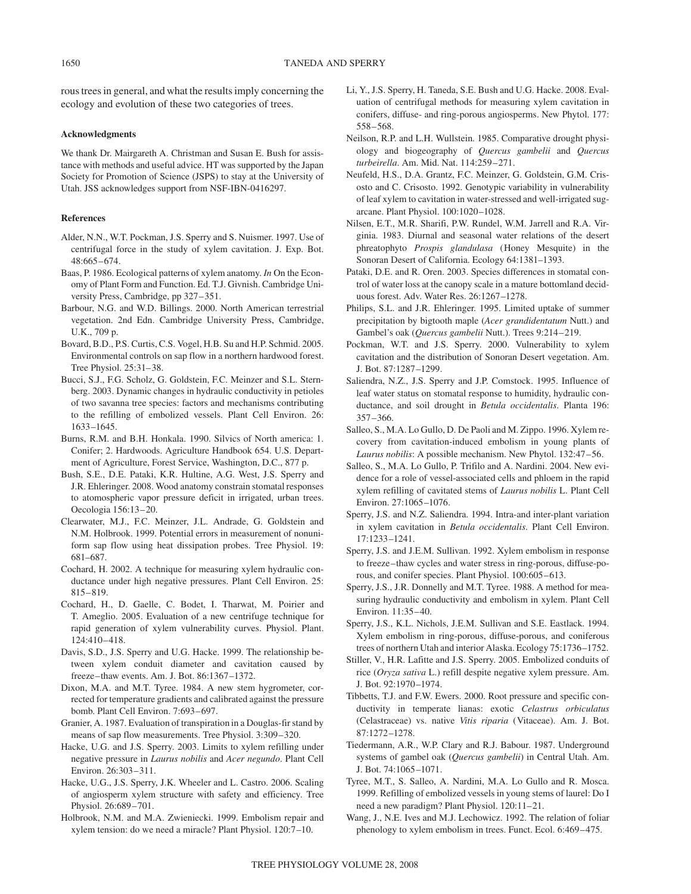rous trees in general, and what the results imply concerning the ecology and evolution of these two categories of trees.

#### **Acknowledgments**

We thank Dr. Mairgareth A. Christman and Susan E. Bush for assistance with methods and useful advice. HT was supported by the Japan Society for Promotion of Science (JSPS) to stay at the University of Utah. JSS acknowledges support from NSF-IBN-0416297.

#### **References**

- Alder, N.N., W.T. Pockman, J.S. Sperry and S. Nuismer. 1997. Use of centrifugal force in the study of xylem cavitation. J. Exp. Bot. 48:665–674.
- Baas, P. 1986. Ecological patterns of xylem anatomy. *In* On the Economy of Plant Form and Function. Ed. T.J. Givnish. Cambridge University Press, Cambridge, pp 327–351.
- Barbour, N.G. and W.D. Billings. 2000. North American terrestrial vegetation. 2nd Edn. Cambridge University Press, Cambridge, U.K., 709 p.
- Bovard, B.D., P.S. Curtis, C.S. Vogel, H.B. Su and H.P. Schmid. 2005. Environmental controls on sap flow in a northern hardwood forest. Tree Physiol. 25:31–38.
- Bucci, S.J., F.G. Scholz, G. Goldstein, F.C. Meinzer and S.L. Sternberg. 2003. Dynamic changes in hydraulic conductivity in petioles of two savanna tree species: factors and mechanisms contributing to the refilling of embolized vessels. Plant Cell Environ. 26: 1633–1645.
- Burns, R.M. and B.H. Honkala. 1990. Silvics of North america: 1. Conifer; 2. Hardwoods. Agriculture Handbook 654. U.S. Department of Agriculture, Forest Service, Washington, D.C., 877 p.
- Bush, S.E., D.E. Pataki, K.R. Hultine, A.G. West, J.S. Sperry and J.R. Ehleringer. 2008. Wood anatomy constrain stomatal responses to atomospheric vapor pressure deficit in irrigated, urban trees. Oecologia 156:13–20.
- Clearwater, M.J., F.C. Meinzer, J.L. Andrade, G. Goldstein and N.M. Holbrook. 1999. Potential errors in measurement of nonuniform sap flow using heat dissipation probes. Tree Physiol. 19: 681–687.
- Cochard, H. 2002. A technique for measuring xylem hydraulic conductance under high negative pressures. Plant Cell Environ. 25: 815–819.
- Cochard, H., D. Gaelle, C. Bodet, I. Tharwat, M. Poirier and T. Ameglio. 2005. Evaluation of a new centrifuge technique for rapid generation of xylem vulnerability curves. Physiol. Plant. 124:410–418.
- Davis, S.D., J.S. Sperry and U.G. Hacke. 1999. The relationship between xylem conduit diameter and cavitation caused by freeze–thaw events. Am. J. Bot. 86:1367–1372.
- Dixon, M.A. and M.T. Tyree. 1984. A new stem hygrometer, corrected for temperature gradients and calibrated against the pressure bomb. Plant Cell Environ. 7:693–697.
- Granier, A. 1987. Evaluation of transpiration in a Douglas-fir stand by means of sap flow measurements. Tree Physiol. 3:309–320.
- Hacke, U.G. and J.S. Sperry. 2003. Limits to xylem refilling under negative pressure in *Laurus nobilis* and *Acer negundo*. Plant Cell Environ. 26:303–311.
- Hacke, U.G., J.S. Sperry, J.K. Wheeler and L. Castro. 2006. Scaling of angiosperm xylem structure with safety and efficiency. Tree Physiol. 26:689–701.
- Holbrook, N.M. and M.A. Zwieniecki. 1999. Embolism repair and xylem tension: do we need a miracle? Plant Physiol. 120:7–10.
- Li, Y., J.S. Sperry, H. Taneda, S.E. Bush and U.G. Hacke. 2008. Evaluation of centrifugal methods for measuring xylem cavitation in conifers, diffuse- and ring-porous angiosperms. New Phytol. 177: 558–568.
- Neilson, R.P. and L.H. Wullstein. 1985. Comparative drought physiology and biogeography of *Quercus gambelii* and *Quercus turbeirella*. Am. Mid. Nat. 114:259–271.
- Neufeld, H.S., D.A. Grantz, F.C. Meinzer, G. Goldstein, G.M. Crisosto and C. Crisosto. 1992. Genotypic variability in vulnerability of leaf xylem to cavitation in water-stressed and well-irrigated sugarcane. Plant Physiol. 100:1020–1028.
- Nilsen, E.T., M.R. Sharifi, P.W. Rundel, W.M. Jarrell and R.A. Virginia. 1983. Diurnal and seasonal water relations of the desert phreatophyto *Prospis glandulasa* (Honey Mesquite) in the Sonoran Desert of California. Ecology 64:1381–1393.
- Pataki, D.E. and R. Oren. 2003. Species differences in stomatal control of water loss at the canopy scale in a mature bottomland deciduous forest. Adv. Water Res. 26:1267–1278.
- Philips, S.L. and J.R. Ehleringer. 1995. Limited uptake of summer precipitation by bigtooth maple (*Acer grandidentatum* Nutt.) and Gambel's oak (*Quercus gambelii* Nutt.). Trees 9:214–219.
- Pockman, W.T. and J.S. Sperry. 2000. Vulnerability to xylem cavitation and the distribution of Sonoran Desert vegetation. Am. J. Bot. 87:1287–1299.
- Saliendra, N.Z., J.S. Sperry and J.P. Comstock. 1995. Influence of leaf water status on stomatal response to humidity, hydraulic conductance, and soil drought in *Betula occidentalis*. Planta 196: 357–366.
- Salleo, S., M.A. Lo Gullo, D. De Paoli and M. Zippo. 1996. Xylem recovery from cavitation-induced embolism in young plants of *Laurus nobilis*: A possible mechanism. New Phytol. 132:47–56.
- Salleo, S., M.A. Lo Gullo, P. Trifilo and A. Nardini. 2004. New evidence for a role of vessel-associated cells and phloem in the rapid xylem refilling of cavitated stems of *Laurus nobilis* L. Plant Cell Environ. 27:1065–1076.
- Sperry, J.S. and N.Z. Saliendra. 1994. Intra-and inter-plant variation in xylem cavitation in *Betula occidentalis*. Plant Cell Environ. 17:1233–1241.
- Sperry, J.S. and J.E.M. Sullivan. 1992. Xylem embolism in response to freeze–thaw cycles and water stress in ring-porous, diffuse-porous, and conifer species. Plant Physiol. 100:605–613.
- Sperry, J.S., J.R. Donnelly and M.T. Tyree. 1988. A method for measuring hydraulic conductivity and embolism in xylem. Plant Cell Environ. 11:35–40.
- Sperry, J.S., K.L. Nichols, J.E.M. Sullivan and S.E. Eastlack. 1994. Xylem embolism in ring-porous, diffuse-porous, and coniferous trees of northern Utah and interior Alaska. Ecology 75:1736–1752.
- Stiller, V., H.R. Lafitte and J.S. Sperry. 2005. Embolized conduits of rice (*Oryza sativa* L.) refill despite negative xylem pressure. Am. J. Bot. 92:1970–1974.
- Tibbetts, T.J. and F.W. Ewers. 2000. Root pressure and specific conductivity in temperate lianas: exotic *Celastrus orbiculatus* (Celastraceae) vs. native *Vitis riparia* (Vitaceae). Am. J. Bot. 87:1272–1278.
- Tiedermann, A.R., W.P. Clary and R.J. Babour. 1987. Underground systems of gambel oak (*Quercus gambelii*) in Central Utah. Am. J. Bot. 74:1065–1071.
- Tyree, M.T., S. Salleo, A. Nardini, M.A. Lo Gullo and R. Mosca. 1999. Refilling of embolized vessels in young stems of laurel: Do I need a new paradigm? Plant Physiol. 120:11–21.
- Wang, J., N.E. Ives and M.J. Lechowicz. 1992. The relation of foliar phenology to xylem embolism in trees. Funct. Ecol. 6:469–475.